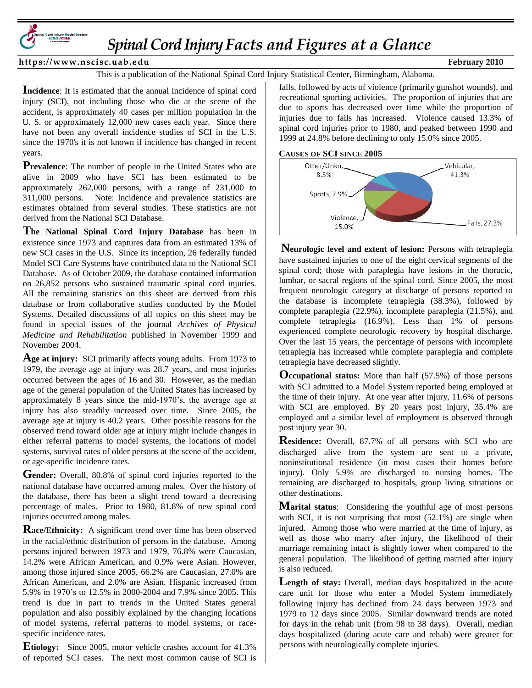

*SpinalCord Injury Facts and Figures at a Glance* 

https://www.nscisc.uab.edu February 2010

This is a publication of the National Spinal Cord Injury Statistical Center, Birmingham, Alabama.

**Incidence**: It is estimated that the annual incidence of spinal cord injury (SCI), not including those who die at the scene of the accident, is approximately 40 cases per million population in the U. S. or approximately 12,000 new cases each year. Since there have not been any overall incidence studies of SCI in the U.S. since the 1970's it is not known if incidence has changed in recent years.

**Prevalence**: The number of people in the United States who are alive in 2009 who have SCI has been estimated to be approximately 262,000 persons, with a range of 231,000 to 311,000 persons. Note: Incidence and prevalence statistics are estimates obtained from several studies. These statistics are not derived from the National SCI Database.

**The National Spinal Cord Injury Database** has been in existence since 1973 and captures data from an estimated 13% of new SCI cases in the U.S. Since its inception, 26 federally funded Model SCI Care Systems have contributed data to the National SCI Database. As of October 2009, the database contained information on 26,852 persons who sustained traumatic spinal cord injuries. All the remaining statistics on this sheet are derived from this database or from collaborative studies conducted by the Model Systems. Detailed discussions of all topics on this sheet may be found in special issues of the journal *Archives of Physical Medicine and Rehabilitation* published in November 1999 and November 2004.

**Age at injury:** SCI primarily affects young adults. From 1973 to 1979, the average age at injury was 28.7 years, and most injuries occurred between the ages of 16 and 30. However, as the median age of the general population of the United States has increased by approximately 8 years since the mid-1970's, the average age at injury has also steadily increased over time. Since 2005, the average age at injury is 40.2 years. Other possible reasons for the observed trend toward older age at injury might include changes in either referral patterns to model systems, the locations of model systems, survival rates of older persons at the scene of the accident, or age-specific incidence rates.

**Gender:** Overall, 80.8% of spinal cord injuries reported to the national database have occurred among males. Over the history of the database, there has been a slight trend toward a decreasing percentage of males. Prior to 1980, 81.8% of new spinal cord injuries occurred among males.

**Race/Ethnicity:** A significant trend over time has been observed in the racial/ethnic distribution of persons in the database. Among persons injured between 1973 and 1979, 76.8% were Caucasian, 14.2% were African American, and 0.9% were Asian. However, among those injured since 2005, 66.2% are Caucasian, 27.0% are African American, and 2.0% are Asian. Hispanic increased from 5.9% in 1970's to 12.5% in 2000-2004 and 7.9% since 2005. This trend is due in part to trends in the United States general population and also possibly explained by the changing locations of model systems, referral patterns to model systems, or racespecific incidence rates.

**Etiology:** Since 2005, motor vehicle crashes account for 41.3% of reported SCI cases. The next most common cause of SCI is falls, followed by acts of violence (primarily gunshot wounds), and recreational sporting activities. The proportion of injuries that are due to sports has decreased over time while the proportion of injuries due to falls has increased. Violence caused 13.3% of spinal cord injuries prior to 1980, and peaked between 1990 and 1999 at 24.8% before declining to only 15.0% since 2005.





**Neurologic level and extent of lesion:** Persons with tetraplegia have sustained injuries to one of the eight cervical segments of the spinal cord; those with paraplegia have lesions in the thoracic, lumbar, or sacral regions of the spinal cord. Since 2005, the most frequent neurologic category at discharge of persons reported to the database is incomplete tetraplegia (38.3%), followed by complete paraplegia (22.9%), incomplete paraplegia (21.5%), and complete tetraplegia (16.9%). Less than 1% of persons experienced complete neurologic recovery by hospital discharge. Over the last 15 years, the percentage of persons with incomplete tetraplegia has increased while complete paraplegia and complete tetraplegia have decreased slightly.

**Occupational status:** More than half (57.5%) of those persons with SCI admitted to a Model System reported being employed at the time of their injury. At one year after injury, 11.6% of persons with SCI are employed. By 20 years post injury, 35.4% are employed and a similar level of employment is observed through post injury year 30.

**Residence:** Overall, 87.7% of all persons with SCI who are discharged alive from the system are sent to a private, noninstitutional residence (in most cases their homes before injury). Only 5.9% are discharged to nursing homes. The remaining are discharged to hospitals, group living situations or other destinations.

**Marital status**: Considering the youthful age of most persons with SCI, it is not surprising that most  $(52.1\%)$  are single when injured. Among those who were married at the time of injury, as well as those who marry after injury, the likelihood of their marriage remaining intact is slightly lower when compared to the general population. The likelihood of getting married after injury is also reduced.

Length of stay: Overall, median days hospitalized in the acute care unit for those who enter a Model System immediately following injury has declined from 24 days between 1973 and 1979 to 12 days since 2005. Similar downward trends are noted for days in the rehab unit (from 98 to 38 days). Overall, median days hospitalized (during acute care and rehab) were greater for persons with neurologically complete injuries.